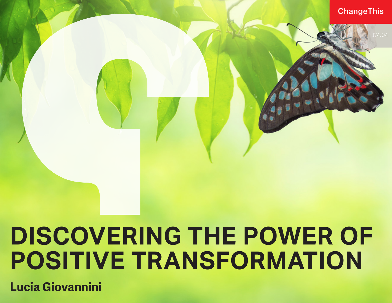# **DISCOVERING THE POWER OF POSITIVE TRANSFORMATION**

**Lucia Giovannini**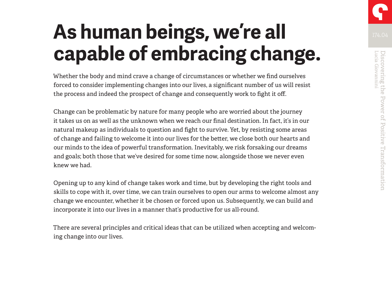# **As human beings, we're all capable of embracing change.**

Whether the body and mind crave a change of circumstances or whether we find ourselves forced to consider implementing changes into our lives, a significant number of us will resist the process and indeed the prospect of change and consequently work to fight it off.

Change can be problematic by nature for many people who are worried about the journey it takes us on as well as the unknown when we reach our final destination. In fact, it's in our natural makeup as individuals to question and fight to survive. Yet, by resisting some areas of change and failing to welcome it into our lives for the better, we close both our hearts and our minds to the idea of powerful transformation. Inevitably, we risk forsaking our dreams and goals; both those that we've desired for some time now, alongside those we never even knew we had.

Opening up to any kind of change takes work and time, but by developing the right tools and skills to cope with it, over time, we can train ourselves to open our arms to welcome almost any change we encounter, whether it be chosen or forced upon us. Subsequently, we can build and incorporate it into our lives in a manner that's productive for us all-round.

There are several principles and critical ideas that can be utilized when accepting and welcoming change into our lives.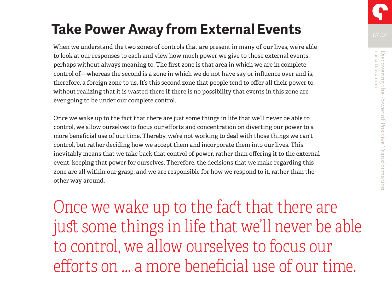When we understand the two zones of controls that are present in many of our lives, we're able to look at our responses to each and view how much power we give to those external events, perhaps without always meaning to. The first zone is that area in which we are in complete control of—whereas the second is a zone in which we do not have say or influence over and is, therefore, a foreign zone to us. It's this second zone that people tend to offer all their power to, without realizing that it is wasted there if there is no possibility that events in this zone are ever going to be under our complete control.

Once we wake up to the fact that there are just some things in life that we'll never be able to control, we allow ourselves to focus our efforts and concentration on diverting our power to a more beneficial use of our time. Thereby, we're not working to deal with those things we can't control, but rather deciding how we accept them and incorporate them into our lives. This inevitably means that we take back that control of power, rather than offering it to the external event, keeping that power for ourselves. Therefore, the decisions that we make regarding this zone are all within our grasp, and we are responsible for how we respond to it, rather than the other way around.

Once we wake up to the fact that there are just some things in life that we'll never be able to control, we allow ourselves to focus our efforts on … a more beneficial use of our time.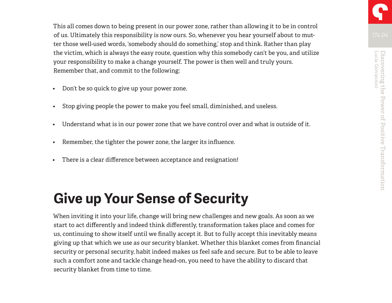This all comes down to being present in our power zone, rather than allowing it to be in control of us. Ultimately this responsibility is now ours. So, whenever you hear yourself about to mutter those well-used words, 'somebody should do something,' stop and think. Rather than play the victim, which is always the easy route, question why this somebody can't be you, and utilize your responsibility to make a change yourself. The power is then well and truly yours. Remember that, and commit to the following:

- Don't be so quick to give up your power zone.
- Stop giving people the power to make you feel small, diminished, and useless.
- Understand what is in our power zone that we have control over and what is outside of it.
- Remember, the tighter the power zone, the larger its influence.
- There is a clear difference between acceptance and resignation!

## **Give up Your Sense of Security**

When inviting it into your life, change will bring new challenges and new goals. As soon as we start to act differently and indeed think differently, transformation takes place and comes for us, continuing to show itself until we finally accept it. But to fully accept this inevitably means giving up that which we use as our security blanket. Whether this blanket comes from financial security or personal security, habit indeed makes us feel safe and secure. But to be able to leave such a comfort zone and tackle change head-on, you need to have the ability to discard that security blanket from time to time.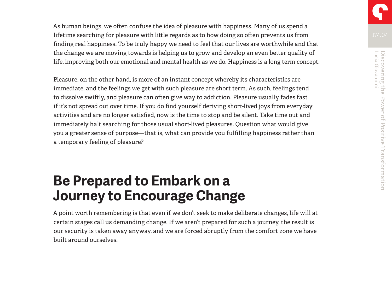As human beings, we often confuse the idea of pleasure with happiness. Many of us spend a lifetime searching for pleasure with little regards as to how doing so often prevents us from finding real happiness. To be truly happy we need to feel that our lives are worthwhile and that the change we are moving towards is helping us to grow and develop an even better quality of life, improving both our emotional and mental health as we do. Happiness is a long term concept.

Pleasure, on the other hand, is more of an instant concept whereby its characteristics are immediate, and the feelings we get with such pleasure are short term. As such, feelings tend to dissolve swiftly, and pleasure can often give way to addiction. Pleasure usually fades fast if it's not spread out over time. If you do find yourself deriving short-lived joys from everyday activities and are no longer satisfied, now is the time to stop and be silent. Take time out and immediately halt searching for those usual short-lived pleasures. Question what would give you a greater sense of purpose—that is, what can provide you fulfilling happiness rather than a temporary feeling of pleasure?

### **Be Prepared to Embark on a Journey to Encourage Change**

A point worth remembering is that even if we don't seek to make deliberate changes, life will at certain stages call us demanding change. If we aren't prepared for such a journey, the result is our security is taken away anyway, and we are forced abruptly from the comfort zone we have built around ourselves.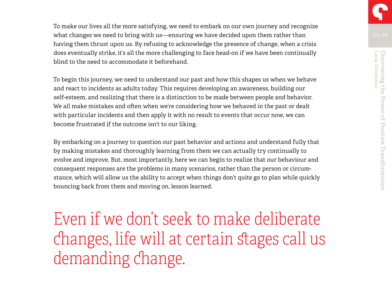To make our lives all the more satisfying, we need to embark on our own journey and recognize what changes we need to bring with us—ensuring we have decided upon them rather than having them thrust upon us. By refusing to acknowledge the presence of change, when a crisis does eventually strike, it's all the more challenging to face head-on if we have been continually blind to the need to accommodate it beforehand.

To begin this journey, we need to understand our past and how this shapes us when we behave and react to incidents as adults today. This requires developing an awareness, building our self-esteem, and realizing that there is a distinction to be made between people and behavior. We all make mistakes and often when we're considering how we behaved in the past or dealt with particular incidents and then apply it with no result to events that occur now, we can become frustrated if the outcome isn't to our liking.

By embarking on a journey to question our past behavior and actions and understand fully that by making mistakes and thoroughly learning from them we can actually try continually to evolve and improve. But, most importantly, here we can begin to realize that our behaviour and consequent responses are the problems in many scenarios, rather than the person or circumstance, which will allow us the ability to accept when things don't quite go to plan while quickly bouncing back from them and moving on, lesson learned.

Even if we don't seek to make deliberate changes, life will at certain stages call us demanding change.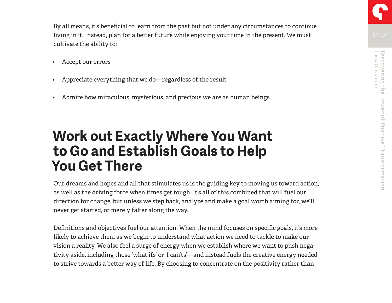By all means, it's beneficial to learn from the past but not under any circumstances to continue living in it. Instead, plan for a better future while enjoying your time in the present. We must cultivate the ability to:

- Accept our errors
- Appreciate everything that we do—regardless of the result
- Admire how miraculous, mysterious, and precious we are as human beings.

### **Work out Exactly Where You Want to Go and Establish Goals to Help You Get There**

Our dreams and hopes and all that stimulates us is the guiding key to moving us toward action, as well as the driving force when times get tough. It's all of this combined that will fuel our direction for change, but unless we step back, analyze and make a goal worth aiming for, we'll never get started, or merely falter along the way.

Definitions and objectives fuel our attention. When the mind focuses on specific goals, it's more likely to achieve them as we begin to understand what action we need to tackle to make our vision a reality. We also feel a surge of energy when we establish where we want to push negativity aside, including those 'what ifs' or 'I can'ts'—and instead fuels the creative energy needed to strive towards a better way of life. By choosing to concentrate on the positivity rather than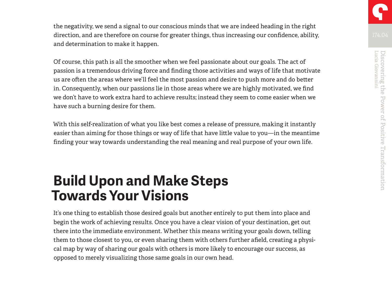the negativity, we send a signal to our conscious minds that we are indeed heading in the right direction, and are therefore on course for greater things, thus increasing our confidence, ability, and determination to make it happen.

Of course, this path is all the smoother when we feel passionate about our goals. The act of passion is a tremendous driving force and finding those activities and ways of life that motivate us are often the areas where we'll feel the most passion and desire to push more and do better in. Consequently, when our passions lie in those areas where we are highly motivated, we find we don't have to work extra hard to achieve results; instead they seem to come easier when we have such a burning desire for them.

With this self-realization of what you like best comes a release of pressure, making it instantly easier than aiming for those things or way of life that have little value to you—in the meantime finding your way towards understanding the real meaning and real purpose of your own life.

### **Build Upon and Make Steps Towards Your Visions**

It's one thing to establish those desired goals but another entirely to put them into place and begin the work of achieving results. Once you have a clear vision of your destination, get out there into the immediate environment. Whether this means writing your goals down, telling them to those closest to you, or even sharing them with others further afield, creating a physical map by way of sharing our goals with others is more likely to encourage our success, as opposed to merely visualizing those same goals in our own head.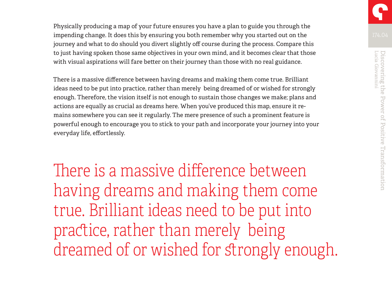Physically producing a map of your future ensures you have a plan to guide you through the impending change. It does this by ensuring you both remember why you started out on the journey and what to do should you divert slightly off course during the process. Compare this to just having spoken those same objectives in your own mind, and it becomes clear that those with visual aspirations will fare better on their journey than those with no real guidance.

There is a massive difference between having dreams and making them come true. Brilliant ideas need to be put into practice, rather than merely being dreamed of or wished for strongly enough. Therefore, the vision itself is not enough to sustain those changes we make; plans and actions are equally as crucial as dreams here. When you've produced this map, ensure it remains somewhere you can see it regularly. The mere presence of such a prominent feature is powerful enough to encourage you to stick to your path and incorporate your journey into your everyday life, effortlessly.

There is a massive difference between having dreams and making them come true. Brilliant ideas need to be put into practice, rather than merely being dreamed of or wished for strongly enough.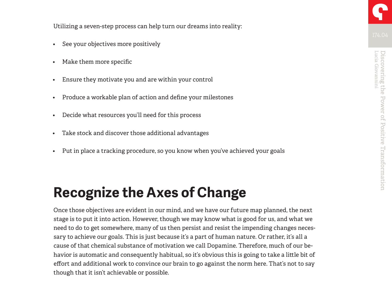Utilizing a seven-step process can help turn our dreams into reality:

- See your objectives more positively
- Make them more specific
- Ensure they motivate you and are within your control
- Produce a workable plan of action and define your milestones
- Decide what resources you'll need for this process
- Take stock and discover those additional advantages
- Put in place a tracking procedure, so you know when you've achieved your goals

## **Recognize the Axes of Change**

Once those objectives are evident in our mind, and we have our future map planned, the next stage is to put it into action. However, though we may know what is good for us, and what we need to do to get somewhere, many of us then persist and resist the impending changes necessary to achieve our goals. This is just because it's a part of human nature. Or rather, it's all a cause of that chemical substance of motivation we call Dopamine. Therefore, much of our behavior is automatic and consequently habitual, so it's obvious this is going to take a little bit of effort and additional work to convince our brain to go against the norm here. That's not to say though that it isn't achievable or possible.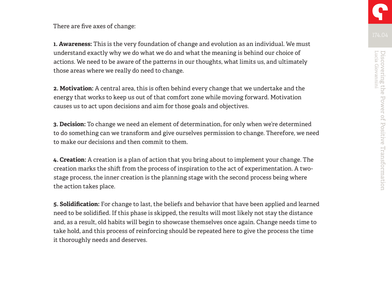There are five axes of change:

**1. Awareness:** This is the very foundation of change and evolution as an individual. We must understand exactly why we do what we do and what the meaning is behind our choice of actions. We need to be aware of the patterns in our thoughts, what limits us, and ultimately those areas where we really do need to change.

**2. Motivation:** A central area, this is often behind every change that we undertake and the energy that works to keep us out of that comfort zone while moving forward. Motivation causes us to act upon decisions and aim for those goals and objectives.

**3. Decision:** To change we need an element of determination, for only when we're determined to do something can we transform and give ourselves permission to change. Therefore, we need to make our decisions and then commit to them.

**4. Creation:** A creation is a plan of action that you bring about to implement your change. The creation marks the shift from the process of inspiration to the act of experimentation. A twostage process, the inner creation is the planning stage with the second process being where the action takes place.

**5. Solidification:** For change to last, the beliefs and behavior that have been applied and learned need to be solidified. If this phase is skipped, the results will most likely not stay the distance and, as a result, old habits will begin to showcase themselves once again. Change needs time to take hold, and this process of reinforcing should be repeated here to give the process the time it thoroughly needs and deserves.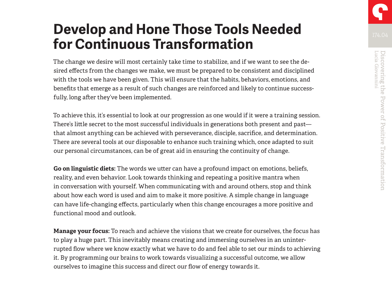## **Develop and Hone Those Tools Needed for Continuous Transformation**

The change we desire will most certainly take time to stabilize, and if we want to see the desired effects from the changes we make, we must be prepared to be consistent and disciplined with the tools we have been given. This will ensure that the habits, behaviors, emotions, and benefits that emerge as a result of such changes are reinforced and likely to continue successfully, long after they've been implemented.

To achieve this, it's essential to look at our progression as one would if it were a training session. There's little secret to the most successful individuals in generations both present and past that almost anything can be achieved with perseverance, disciple, sacrifice, and determination. There are several tools at our disposable to enhance such training which, once adapted to suit our personal circumstances, can be of great aid in ensuring the continuity of change.

**Go on linguistic diets:** The words we utter can have a profound impact on emotions, beliefs, reality, and even behavior. Look towards thinking and repeating a positive mantra when in conversation with yourself. When communicating with and around others, stop and think about how each word is used and aim to make it more positive. A simple change in language can have life-changing effects, particularly when this change encourages a more positive and functional mood and outlook.

**Manage your focus:** To reach and achieve the visions that we create for ourselves, the focus has to play a huge part. This inevitably means creating and immersing ourselves in an uninterrupted flow where we know exactly what we have to do and feel able to set our minds to achieving it. By programming our brains to work towards visualizing a successful outcome, we allow ourselves to imagine this success and direct our flow of energy towards it.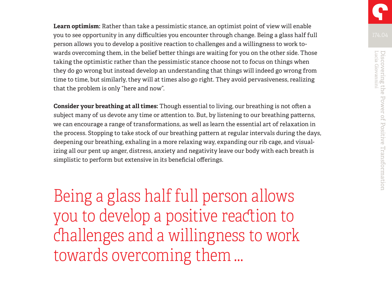**Learn optimism:** Rather than take a pessimistic stance, an optimist point of view will enable you to see opportunity in any difficulties you encounter through change. Being a glass half full person allows you to develop a positive reaction to challenges and a willingness to work towards overcoming them, in the belief better things are waiting for you on the other side. Those taking the optimistic rather than the pessimistic stance choose not to focus on things when they do go wrong but instead develop an understanding that things will indeed go wrong from time to time, but similarly, they will at times also go right. They avoid pervasiveness, realizing that the problem is only "here and now".

**Consider your breathing at all times:** Though essential to living, our breathing is not often a subject many of us devote any time or attention to. But, by listening to our breathing patterns, we can encourage a range of transformations, as well as learn the essential art of relaxation in the process. Stopping to take stock of our breathing pattern at regular intervals during the days, deepening our breathing, exhaling in a more relaxing way, expanding our rib cage, and visualizing all our pent up anger, distress, anxiety and negativity leave our body with each breath is simplistic to perform but extensive in its beneficial offerings.

Being a glass half full person allows you to develop a positive reaction to challenges and a willingness to work towards overcoming them …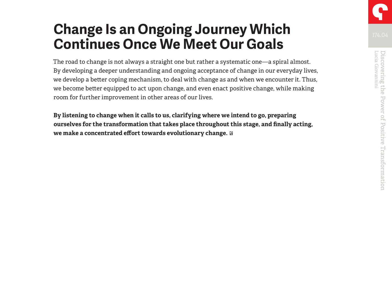## **Change Is an Ongoing Journey Which Continues Once We Meet Our Goals**

The road to change is not always a straight one but rather a systematic one—a spiral almost. By developing a deeper understanding and ongoing acceptance of change in our everyday lives, we develop a better coping mechanism, to deal with change as and when we encounter it. Thus, we become better equipped to act upon change, and even enact positive change, while making room for further improvement in other areas of our lives.

**By listening to change when it calls to us, clarifying where we intend to go, preparing ourselves for the transformation that takes place throughout this stage, and finally acting, we make a concentrated effort towards evolutionary change.**